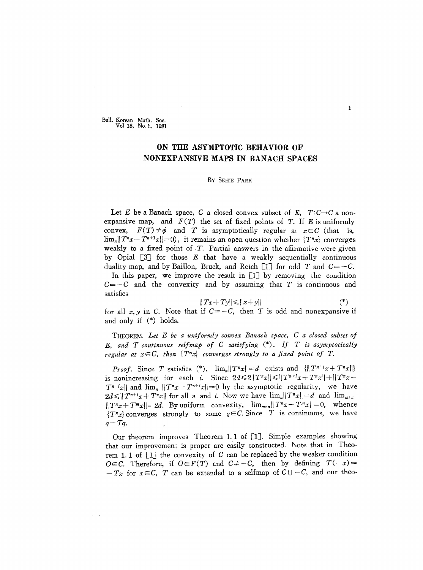Bull. Korean Math. Soc. Vol.1S, No.1, 1981

## **ON THE ASYMPTOTIC BEHAVIOR OF NONEXPANSIVE MAPS IN BANACH SPACES**

## By SEHIE PARK

Let E be a Banach space, C a closed convex subset of E,  $T: C \rightarrow C$  a nonexpansive map, and  $F(T)$  the set of fixed points of T. If E is uniformly convex,  $F(T) \neq \phi$  and T is asymptotically regular at  $x \in C$  (that is,  $\lim_{n} ||T^{n}x - T^{n+1}x|| = 0$ , it remains an open question whether  $\{T^{n}x\}$  converges weakly to a fixed point of T. Partial answers in the affirmative were given by Opial [3J for those *E* that have a weakly sequentially continuous duality map, and by Baillon, Bruck, and Reich  $\lceil 1 \rceil$  for odd T and  $C = -C$ . In this paper, we improve the result in  $\lceil 1 \rceil$  by removing the condition  $C=-C$  and the convexity and by assuming that T is continuous and satisfies

$$
||Tx+Ty|| \le ||x+y|| \tag{*}
$$

for all  $x, y$  in C. Note that if  $C = -C$ , then T is odd and nonexpansive if and only if (\*) holds.

THEOREM. *Let E be a uniformly convex Banach space,* C *a closed subset of* E, *and* T *continuous selfmap of* C *satisfying* (\*). *If T is asymptotically regular* at  $x \in C$ , then  $\{T^n x\}$  converges strongly to a fixed point of T.

*Proof.* Since *T* satisfies (\*),  $\lim_{n} ||T^n x|| = d$  exists and  $\{||T^{n+i} x + T^n x||\}$ is nonincreasing for each *i*. Since  $2d \le 2||T^nx|| \le ||T^{n+i}x + T^nx|| + ||T^nx T^{n+i}x\|$  and  $\lim_{n} \|T^{n}x - T^{n+i}x\| = 0$  by the asymptotic regularity, we have  $2d \leq ||T^{n+i}x + T^n x||$  for all n and *i*. Now we have  $\lim_{n} ||T^n x|| = d$  and  $\lim_{m \to \infty}$  $||T^{n}x+T^{m}x||=2d$ . By uniform convexity,  $\lim_{m,n}||T^{n}x-T^{m}x||=0$ , whence  ${T^nx}$  converges strongly to some  $q \in \mathcal{C}$ . Since T is continuous, we have *q=Tq.*

Our theorem improves Theorem 1. 1 of [1]. Simple examples showing that our improvement is proper are easily constructed. Note that in Theorem 1.1 of  $\lceil 1 \rceil$  the convexity of C can be replaced by the weaker condition OEC. Therefore, if  $O \in F(T)$  and  $C \neq -C$ , then by defining  $T(-x) =$  $-Tx$  for  $x\in\mathbb{C}$ , T can be extended to a selfmap of  $C\cup-C$ , and our theo-